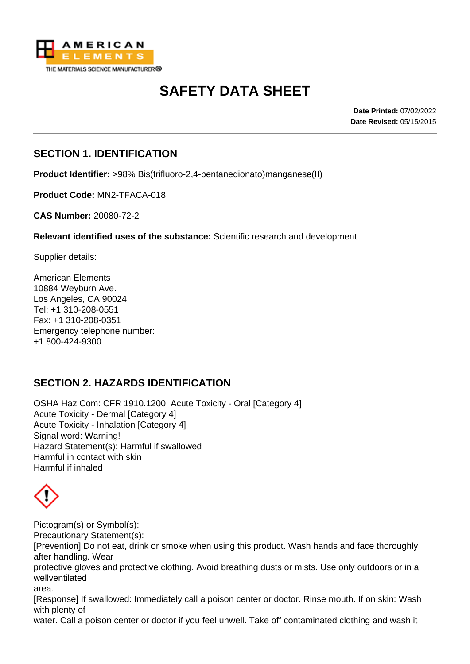

# **SAFETY DATA SHEET**

**Date Printed:** 07/02/2022 **Date Revised:** 05/15/2015

#### **SECTION 1. IDENTIFICATION**

**Product Identifier:** >98% Bis(trifluoro-2,4-pentanedionato)manganese(II)

**Product Code:** MN2-TFACA-018

**CAS Number:** 20080-72-2

**Relevant identified uses of the substance:** Scientific research and development

Supplier details:

American Elements 10884 Weyburn Ave. Los Angeles, CA 90024 Tel: +1 310-208-0551 Fax: +1 310-208-0351 Emergency telephone number: +1 800-424-9300

## **SECTION 2. HAZARDS IDENTIFICATION**

OSHA Haz Com: CFR 1910.1200: Acute Toxicity - Oral [Category 4] Acute Toxicity - Dermal [Category 4] Acute Toxicity - Inhalation [Category 4] Signal word: Warning! Hazard Statement(s): Harmful if swallowed Harmful in contact with skin Harmful if inhaled



Pictogram(s) or Symbol(s): Precautionary Statement(s):

[Prevention] Do not eat, drink or smoke when using this product. Wash hands and face thoroughly after handling. Wear

protective gloves and protective clothing. Avoid breathing dusts or mists. Use only outdoors or in a wellventilated

area.

[Response] If swallowed: Immediately call a poison center or doctor. Rinse mouth. If on skin: Wash with plenty of

water. Call a poison center or doctor if you feel unwell. Take off contaminated clothing and wash it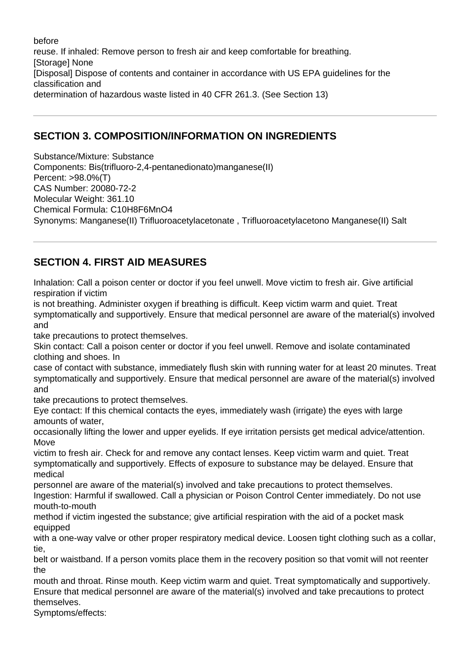before reuse. If inhaled: Remove person to fresh air and keep comfortable for breathing. [Storage] None [Disposal] Dispose of contents and container in accordance with US EPA guidelines for the classification and determination of hazardous waste listed in 40 CFR 261.3. (See Section 13)

## **SECTION 3. COMPOSITION/INFORMATION ON INGREDIENTS**

Substance/Mixture: Substance Components: Bis(trifluoro-2,4-pentanedionato)manganese(II) Percent: >98.0%(T) CAS Number: 20080-72-2 Molecular Weight: 361.10 Chemical Formula: C10H8F6MnO4 Synonyms: Manganese(II) Trifluoroacetylacetonate , Trifluoroacetylacetono Manganese(II) Salt

# **SECTION 4. FIRST AID MEASURES**

Inhalation: Call a poison center or doctor if you feel unwell. Move victim to fresh air. Give artificial respiration if victim

is not breathing. Administer oxygen if breathing is difficult. Keep victim warm and quiet. Treat symptomatically and supportively. Ensure that medical personnel are aware of the material(s) involved and

take precautions to protect themselves.

Skin contact: Call a poison center or doctor if you feel unwell. Remove and isolate contaminated clothing and shoes. In

case of contact with substance, immediately flush skin with running water for at least 20 minutes. Treat symptomatically and supportively. Ensure that medical personnel are aware of the material(s) involved and

take precautions to protect themselves.

Eye contact: If this chemical contacts the eyes, immediately wash (irrigate) the eyes with large amounts of water,

occasionally lifting the lower and upper eyelids. If eye irritation persists get medical advice/attention. Move

victim to fresh air. Check for and remove any contact lenses. Keep victim warm and quiet. Treat symptomatically and supportively. Effects of exposure to substance may be delayed. Ensure that medical

personnel are aware of the material(s) involved and take precautions to protect themselves.

Ingestion: Harmful if swallowed. Call a physician or Poison Control Center immediately. Do not use mouth-to-mouth

method if victim ingested the substance; give artificial respiration with the aid of a pocket mask equipped

with a one-way valve or other proper respiratory medical device. Loosen tight clothing such as a collar, tie,

belt or waistband. If a person vomits place them in the recovery position so that vomit will not reenter the

mouth and throat. Rinse mouth. Keep victim warm and quiet. Treat symptomatically and supportively. Ensure that medical personnel are aware of the material(s) involved and take precautions to protect themselves.

Symptoms/effects: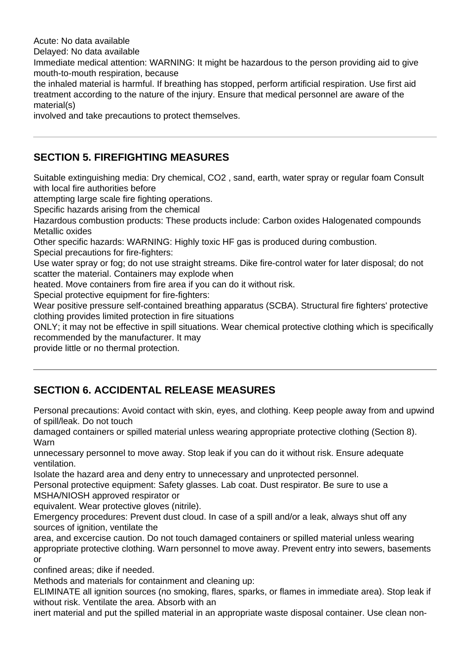Acute: No data available

Delayed: No data available

Immediate medical attention: WARNING: It might be hazardous to the person providing aid to give mouth-to-mouth respiration, because

the inhaled material is harmful. If breathing has stopped, perform artificial respiration. Use first aid treatment according to the nature of the injury. Ensure that medical personnel are aware of the material(s)

involved and take precautions to protect themselves.

# **SECTION 5. FIREFIGHTING MEASURES**

Suitable extinguishing media: Dry chemical, CO2 , sand, earth, water spray or regular foam Consult with local fire authorities before

attempting large scale fire fighting operations.

Specific hazards arising from the chemical

Hazardous combustion products: These products include: Carbon oxides Halogenated compounds Metallic oxides

Other specific hazards: WARNING: Highly toxic HF gas is produced during combustion.

Special precautions for fire-fighters:

Use water spray or fog; do not use straight streams. Dike fire-control water for later disposal; do not scatter the material. Containers may explode when

heated. Move containers from fire area if you can do it without risk.

Special protective equipment for fire-fighters:

Wear positive pressure self-contained breathing apparatus (SCBA). Structural fire fighters' protective clothing provides limited protection in fire situations

ONLY; it may not be effective in spill situations. Wear chemical protective clothing which is specifically recommended by the manufacturer. It may

provide little or no thermal protection.

# **SECTION 6. ACCIDENTAL RELEASE MEASURES**

Personal precautions: Avoid contact with skin, eyes, and clothing. Keep people away from and upwind of spill/leak. Do not touch

damaged containers or spilled material unless wearing appropriate protective clothing (Section 8). Warn

unnecessary personnel to move away. Stop leak if you can do it without risk. Ensure adequate ventilation.

Isolate the hazard area and deny entry to unnecessary and unprotected personnel.

Personal protective equipment: Safety glasses. Lab coat. Dust respirator. Be sure to use a MSHA/NIOSH approved respirator or

equivalent. Wear protective gloves (nitrile).

Emergency procedures: Prevent dust cloud. In case of a spill and/or a leak, always shut off any sources of ignition, ventilate the

area, and excercise caution. Do not touch damaged containers or spilled material unless wearing appropriate protective clothing. Warn personnel to move away. Prevent entry into sewers, basements or

confined areas; dike if needed.

Methods and materials for containment and cleaning up:

ELIMINATE all ignition sources (no smoking, flares, sparks, or flames in immediate area). Stop leak if without risk. Ventilate the area. Absorb with an

inert material and put the spilled material in an appropriate waste disposal container. Use clean non-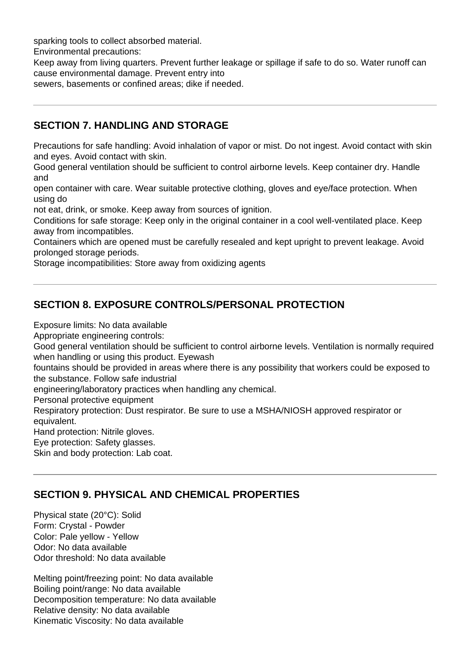sparking tools to collect absorbed material.

Environmental precautions:

Keep away from living quarters. Prevent further leakage or spillage if safe to do so. Water runoff can cause environmental damage. Prevent entry into

sewers, basements or confined areas; dike if needed.

#### **SECTION 7. HANDLING AND STORAGE**

Precautions for safe handling: Avoid inhalation of vapor or mist. Do not ingest. Avoid contact with skin and eyes. Avoid contact with skin.

Good general ventilation should be sufficient to control airborne levels. Keep container dry. Handle and

open container with care. Wear suitable protective clothing, gloves and eye/face protection. When using do

not eat, drink, or smoke. Keep away from sources of ignition.

Conditions for safe storage: Keep only in the original container in a cool well-ventilated place. Keep away from incompatibles.

Containers which are opened must be carefully resealed and kept upright to prevent leakage. Avoid prolonged storage periods.

Storage incompatibilities: Store away from oxidizing agents

## **SECTION 8. EXPOSURE CONTROLS/PERSONAL PROTECTION**

Exposure limits: No data available

Appropriate engineering controls:

Good general ventilation should be sufficient to control airborne levels. Ventilation is normally required when handling or using this product. Eyewash

fountains should be provided in areas where there is any possibility that workers could be exposed to the substance. Follow safe industrial

engineering/laboratory practices when handling any chemical.

Personal protective equipment

Respiratory protection: Dust respirator. Be sure to use a MSHA/NIOSH approved respirator or equivalent.

Hand protection: Nitrile gloves.

Eye protection: Safety glasses.

Skin and body protection: Lab coat.

## **SECTION 9. PHYSICAL AND CHEMICAL PROPERTIES**

Physical state (20°C): Solid Form: Crystal - Powder Color: Pale yellow - Yellow Odor: No data available Odor threshold: No data available

Melting point/freezing point: No data available Boiling point/range: No data available Decomposition temperature: No data available Relative density: No data available Kinematic Viscosity: No data available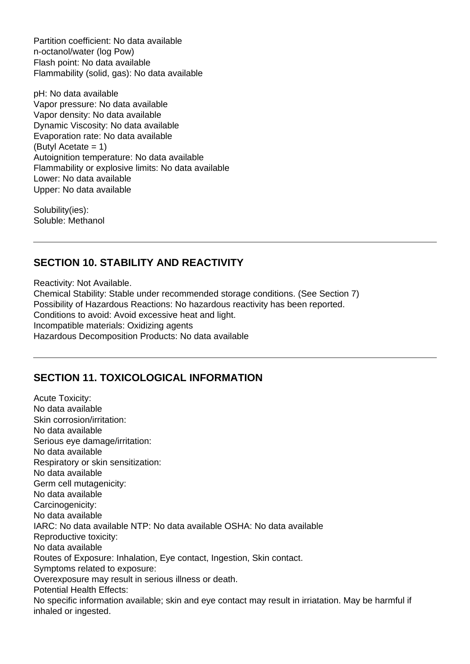Partition coefficient: No data available n-octanol/water (log Pow) Flash point: No data available Flammability (solid, gas): No data available

pH: No data available Vapor pressure: No data available Vapor density: No data available Dynamic Viscosity: No data available Evaporation rate: No data available (Butyl Acetate = 1) Autoignition temperature: No data available Flammability or explosive limits: No data available Lower: No data available Upper: No data available

Solubility(ies): Soluble: Methanol

# **SECTION 10. STABILITY AND REACTIVITY**

Reactivity: Not Available.

Chemical Stability: Stable under recommended storage conditions. (See Section 7) Possibility of Hazardous Reactions: No hazardous reactivity has been reported. Conditions to avoid: Avoid excessive heat and light. Incompatible materials: Oxidizing agents Hazardous Decomposition Products: No data available

## **SECTION 11. TOXICOLOGICAL INFORMATION**

Acute Toxicity: No data available Skin corrosion/irritation: No data available Serious eye damage/irritation: No data available Respiratory or skin sensitization: No data available Germ cell mutagenicity: No data available Carcinogenicity: No data available IARC: No data available NTP: No data available OSHA: No data available Reproductive toxicity: No data available Routes of Exposure: Inhalation, Eye contact, Ingestion, Skin contact. Symptoms related to exposure: Overexposure may result in serious illness or death. Potential Health Effects: No specific information available; skin and eye contact may result in irriatation. May be harmful if inhaled or ingested.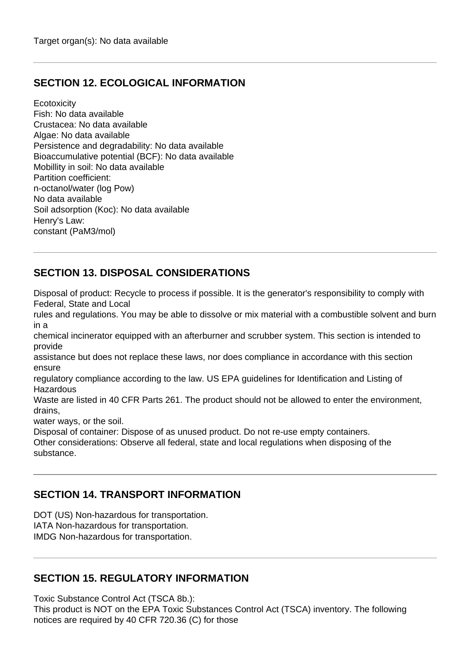## **SECTION 12. ECOLOGICAL INFORMATION**

**Ecotoxicity** Fish: No data available Crustacea: No data available Algae: No data available Persistence and degradability: No data available Bioaccumulative potential (BCF): No data available Mobillity in soil: No data available Partition coefficient: n-octanol/water (log Pow) No data available Soil adsorption (Koc): No data available Henry's Law: constant (PaM3/mol)

# **SECTION 13. DISPOSAL CONSIDERATIONS**

Disposal of product: Recycle to process if possible. It is the generator's responsibility to comply with Federal, State and Local

rules and regulations. You may be able to dissolve or mix material with a combustible solvent and burn in a

chemical incinerator equipped with an afterburner and scrubber system. This section is intended to provide

assistance but does not replace these laws, nor does compliance in accordance with this section ensure

regulatory compliance according to the law. US EPA guidelines for Identification and Listing of **Hazardous** 

Waste are listed in 40 CFR Parts 261. The product should not be allowed to enter the environment, drains,

water ways, or the soil.

Disposal of container: Dispose of as unused product. Do not re-use empty containers.

Other considerations: Observe all federal, state and local regulations when disposing of the substance.

#### **SECTION 14. TRANSPORT INFORMATION**

DOT (US) Non-hazardous for transportation.

IATA Non-hazardous for transportation.

IMDG Non-hazardous for transportation.

#### **SECTION 15. REGULATORY INFORMATION**

Toxic Substance Control Act (TSCA 8b.):

This product is NOT on the EPA Toxic Substances Control Act (TSCA) inventory. The following notices are required by 40 CFR 720.36 (C) for those